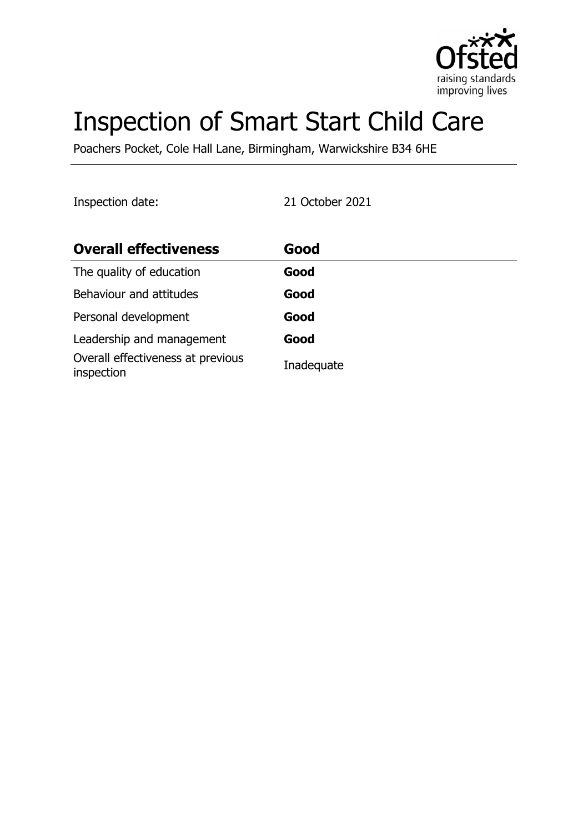

# Inspection of Smart Start Child Care

Poachers Pocket, Cole Hall Lane, Birmingham, Warwickshire B34 6HE

Inspection date: 21 October 2021

| <b>Overall effectiveness</b>                    | Good       |
|-------------------------------------------------|------------|
| The quality of education                        | Good       |
| Behaviour and attitudes                         | Good       |
| Personal development                            | Good       |
| Leadership and management                       | Good       |
| Overall effectiveness at previous<br>inspection | Inadequate |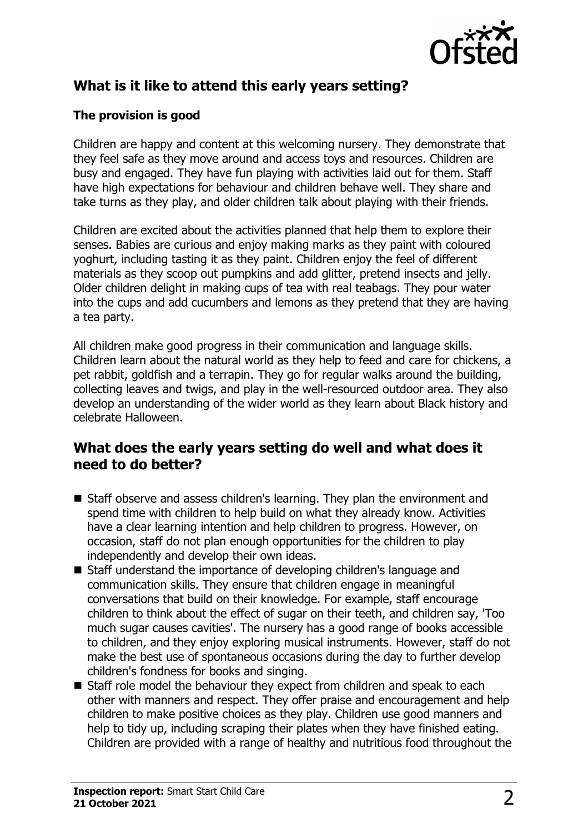

# **What is it like to attend this early years setting?**

## **The provision is good**

Children are happy and content at this welcoming nursery. They demonstrate that they feel safe as they move around and access toys and resources. Children are busy and engaged. They have fun playing with activities laid out for them. Staff have high expectations for behaviour and children behave well. They share and take turns as they play, and older children talk about playing with their friends.

Children are excited about the activities planned that help them to explore their senses. Babies are curious and enjoy making marks as they paint with coloured yoghurt, including tasting it as they paint. Children enjoy the feel of different materials as they scoop out pumpkins and add glitter, pretend insects and jelly. Older children delight in making cups of tea with real teabags. They pour water into the cups and add cucumbers and lemons as they pretend that they are having a tea party.

All children make good progress in their communication and language skills. Children learn about the natural world as they help to feed and care for chickens, a pet rabbit, goldfish and a terrapin. They go for regular walks around the building, collecting leaves and twigs, and play in the well-resourced outdoor area. They also develop an understanding of the wider world as they learn about Black history and celebrate Halloween.

## **What does the early years setting do well and what does it need to do better?**

- Staff observe and assess children's learning. They plan the environment and spend time with children to help build on what they already know. Activities have a clear learning intention and help children to progress. However, on occasion, staff do not plan enough opportunities for the children to play independently and develop their own ideas.
- Staff understand the importance of developing children's language and communication skills. They ensure that children engage in meaningful conversations that build on their knowledge. For example, staff encourage children to think about the effect of sugar on their teeth, and children say, 'Too much sugar causes cavities'. The nursery has a good range of books accessible to children, and they enjoy exploring musical instruments. However, staff do not make the best use of spontaneous occasions during the day to further develop children's fondness for books and singing.
- Staff role model the behaviour they expect from children and speak to each other with manners and respect. They offer praise and encouragement and help children to make positive choices as they play. Children use good manners and help to tidy up, including scraping their plates when they have finished eating. Children are provided with a range of healthy and nutritious food throughout the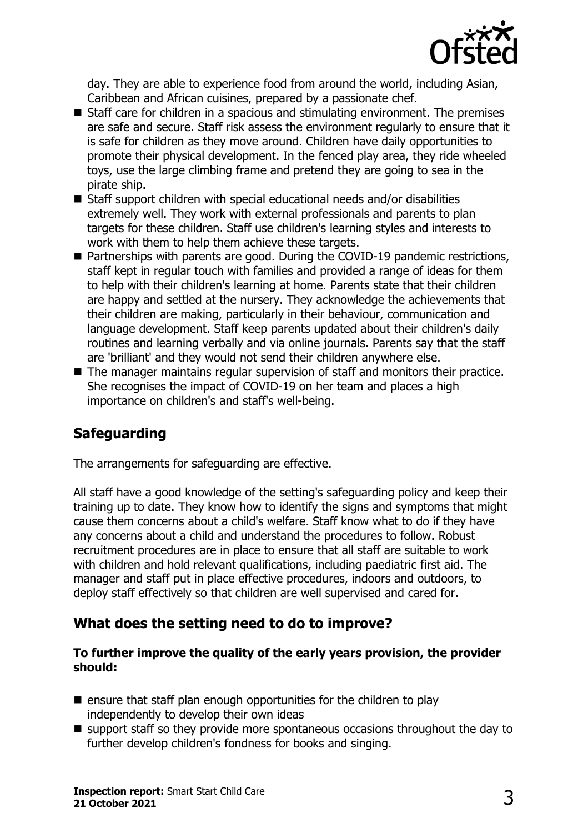

day. They are able to experience food from around the world, including Asian, Caribbean and African cuisines, prepared by a passionate chef.

- $\blacksquare$  Staff care for children in a spacious and stimulating environment. The premises are safe and secure. Staff risk assess the environment regularly to ensure that it is safe for children as they move around. Children have daily opportunities to promote their physical development. In the fenced play area, they ride wheeled toys, use the large climbing frame and pretend they are going to sea in the pirate ship.
- $\blacksquare$  Staff support children with special educational needs and/or disabilities extremely well. They work with external professionals and parents to plan targets for these children. Staff use children's learning styles and interests to work with them to help them achieve these targets.
- $\blacksquare$  Partnerships with parents are good. During the COVID-19 pandemic restrictions, staff kept in regular touch with families and provided a range of ideas for them to help with their children's learning at home. Parents state that their children are happy and settled at the nursery. They acknowledge the achievements that their children are making, particularly in their behaviour, communication and language development. Staff keep parents updated about their children's daily routines and learning verbally and via online journals. Parents say that the staff are 'brilliant' and they would not send their children anywhere else.
- $\blacksquare$  The manager maintains regular supervision of staff and monitors their practice. She recognises the impact of COVID-19 on her team and places a high importance on children's and staff's well-being.

## **Safeguarding**

The arrangements for safeguarding are effective.

All staff have a good knowledge of the setting's safeguarding policy and keep their training up to date. They know how to identify the signs and symptoms that might cause them concerns about a child's welfare. Staff know what to do if they have any concerns about a child and understand the procedures to follow. Robust recruitment procedures are in place to ensure that all staff are suitable to work with children and hold relevant qualifications, including paediatric first aid. The manager and staff put in place effective procedures, indoors and outdoors, to deploy staff effectively so that children are well supervised and cared for.

## **What does the setting need to do to improve?**

#### **To further improve the quality of the early years provision, the provider should:**

- $\blacksquare$  ensure that staff plan enough opportunities for the children to play independently to develop their own ideas
- $\blacksquare$  support staff so they provide more spontaneous occasions throughout the day to further develop children's fondness for books and singing.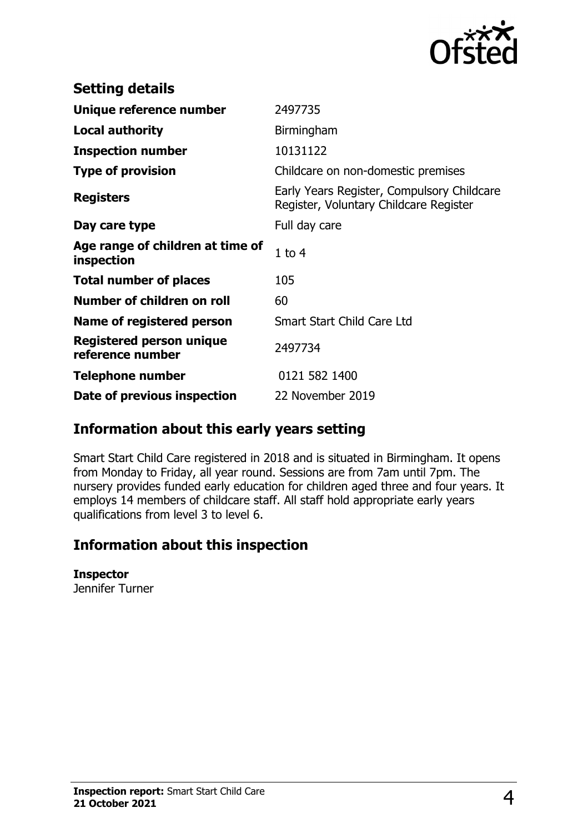

| <b>Setting details</b>                         |                                                                                      |
|------------------------------------------------|--------------------------------------------------------------------------------------|
| Unique reference number                        | 2497735                                                                              |
| <b>Local authority</b>                         | Birmingham                                                                           |
| <b>Inspection number</b>                       | 10131122                                                                             |
| <b>Type of provision</b>                       | Childcare on non-domestic premises                                                   |
| <b>Registers</b>                               | Early Years Register, Compulsory Childcare<br>Register, Voluntary Childcare Register |
| Day care type                                  | Full day care                                                                        |
| Age range of children at time of<br>inspection | $1$ to $4$                                                                           |
| <b>Total number of places</b>                  | 105                                                                                  |
| Number of children on roll                     | 60                                                                                   |
| Name of registered person                      | <b>Smart Start Child Care Ltd</b>                                                    |
| Registered person unique<br>reference number   | 2497734                                                                              |
| Telephone number                               | 0121 582 1400                                                                        |
| Date of previous inspection                    | 22 November 2019                                                                     |

## **Information about this early years setting**

Smart Start Child Care registered in 2018 and is situated in Birmingham. It opens from Monday to Friday, all year round. Sessions are from 7am until 7pm. The nursery provides funded early education for children aged three and four years. It employs 14 members of childcare staff. All staff hold appropriate early years qualifications from level 3 to level 6.

## **Information about this inspection**

#### **Inspector**

Jennifer Turner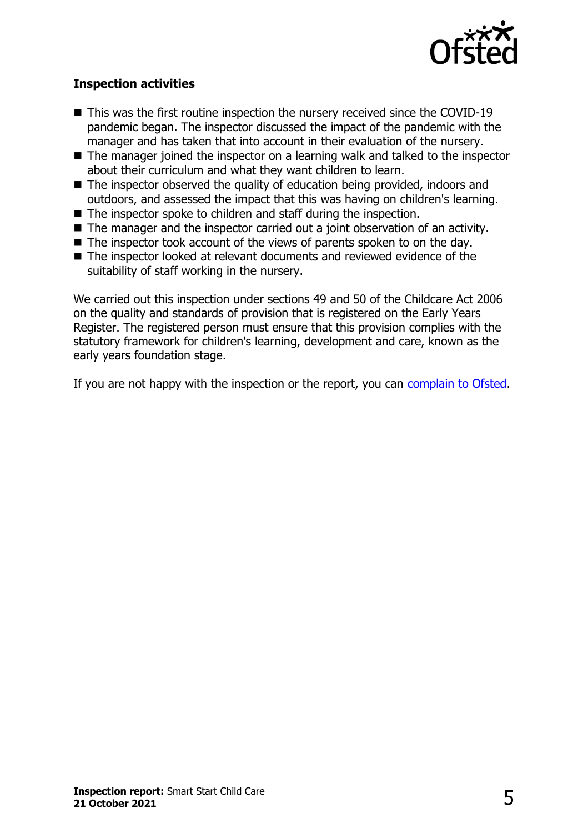

### **Inspection activities**

- $\blacksquare$  This was the first routine inspection the nursery received since the COVID-19 pandemic began. The inspector discussed the impact of the pandemic with the manager and has taken that into account in their evaluation of the nursery.
- $\blacksquare$  The manager joined the inspector on a learning walk and talked to the inspector about their curriculum and what they want children to learn.
- $\blacksquare$  The inspector observed the quality of education being provided, indoors and outdoors, and assessed the impact that this was having on children's learning.
- $\blacksquare$  The inspector spoke to children and staff during the inspection.
- $\blacksquare$  The manager and the inspector carried out a joint observation of an activity.
- $\blacksquare$  The inspector took account of the views of parents spoken to on the day.
- The inspector looked at relevant documents and reviewed evidence of the suitability of staff working in the nursery.

We carried out this inspection under sections 49 and 50 of the Childcare Act 2006 on the quality and standards of provision that is registered on the Early Years Register. The registered person must ensure that this provision complies with the statutory framework for children's learning, development and care, known as the early years foundation stage.

If you are not happy with the inspection or the report, you can [complain to Ofsted](http://www.gov.uk/complain-ofsted-report).